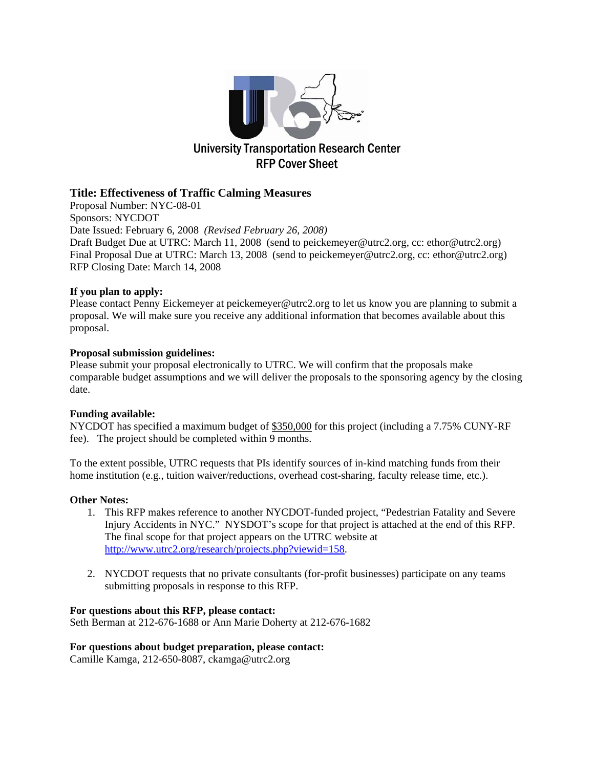

#### **Title: Effectiveness of Traffic Calming Measures**

Proposal Number: NYC-08-01 Sponsors: NYCDOT Date Issued: February 6, 2008 *(Revised February 26, 2008)* Draft Budget Due at UTRC: March 11, 2008 (send to peickemeyer@utrc2.org, cc: ethor@utrc2.org) Final Proposal Due at UTRC: March 13, 2008 (send to peickemeyer@utrc2.org, cc: ethor@utrc2.org) RFP Closing Date: March 14, 2008

#### **If you plan to apply:**

Please contact Penny Eickemeyer at peickemeyer@utrc2.org to let us know you are planning to submit a proposal. We will make sure you receive any additional information that becomes available about this proposal.

#### **Proposal submission guidelines:**

Please submit your proposal electronically to UTRC. We will confirm that the proposals make comparable budget assumptions and we will deliver the proposals to the sponsoring agency by the closing date.

#### **Funding available:**

NYCDOT has specified a maximum budget of \$350,000 for this project (including a 7.75% CUNY-RF fee). The project should be completed within 9 months.

To the extent possible, UTRC requests that PIs identify sources of in-kind matching funds from their home institution (e.g., tuition waiver/reductions, overhead cost-sharing, faculty release time, etc.).

#### **Other Notes:**

- 1. This RFP makes reference to another NYCDOT-funded project, "Pedestrian Fatality and Severe Injury Accidents in NYC." NYSDOT's scope for that project is attached at the end of this RFP. The final scope for that project appears on the UTRC website at http://www.utrc2.org/research/projects.php?viewid=158.
- 2. NYCDOT requests that no private consultants (for-profit businesses) participate on any teams submitting proposals in response to this RFP.

#### **For questions about this RFP, please contact:**

Seth Berman at 212-676-1688 or Ann Marie Doherty at 212-676-1682

#### **For questions about budget preparation, please contact:**

Camille Kamga, 212-650-8087, ckamga@utrc2.org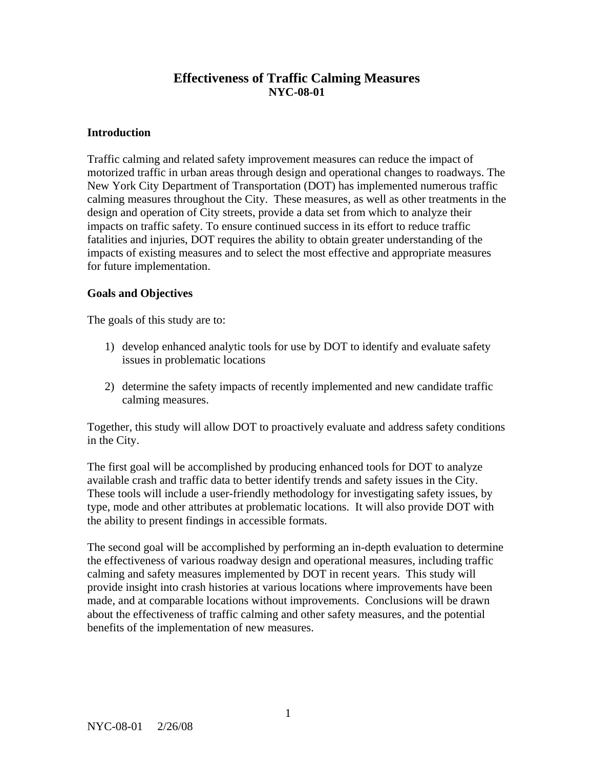## **Effectiveness of Traffic Calming Measures NYC-08-01**

### **Introduction**

Traffic calming and related safety improvement measures can reduce the impact of motorized traffic in urban areas through design and operational changes to roadways. The New York City Department of Transportation (DOT) has implemented numerous traffic calming measures throughout the City. These measures, as well as other treatments in the design and operation of City streets, provide a data set from which to analyze their impacts on traffic safety. To ensure continued success in its effort to reduce traffic fatalities and injuries, DOT requires the ability to obtain greater understanding of the impacts of existing measures and to select the most effective and appropriate measures for future implementation.

### **Goals and Objectives**

The goals of this study are to:

- 1) develop enhanced analytic tools for use by DOT to identify and evaluate safety issues in problematic locations
- 2) determine the safety impacts of recently implemented and new candidate traffic calming measures.

Together, this study will allow DOT to proactively evaluate and address safety conditions in the City.

The first goal will be accomplished by producing enhanced tools for DOT to analyze available crash and traffic data to better identify trends and safety issues in the City. These tools will include a user-friendly methodology for investigating safety issues, by type, mode and other attributes at problematic locations. It will also provide DOT with the ability to present findings in accessible formats.

The second goal will be accomplished by performing an in-depth evaluation to determine the effectiveness of various roadway design and operational measures, including traffic calming and safety measures implemented by DOT in recent years. This study will provide insight into crash histories at various locations where improvements have been made, and at comparable locations without improvements. Conclusions will be drawn about the effectiveness of traffic calming and other safety measures, and the potential benefits of the implementation of new measures.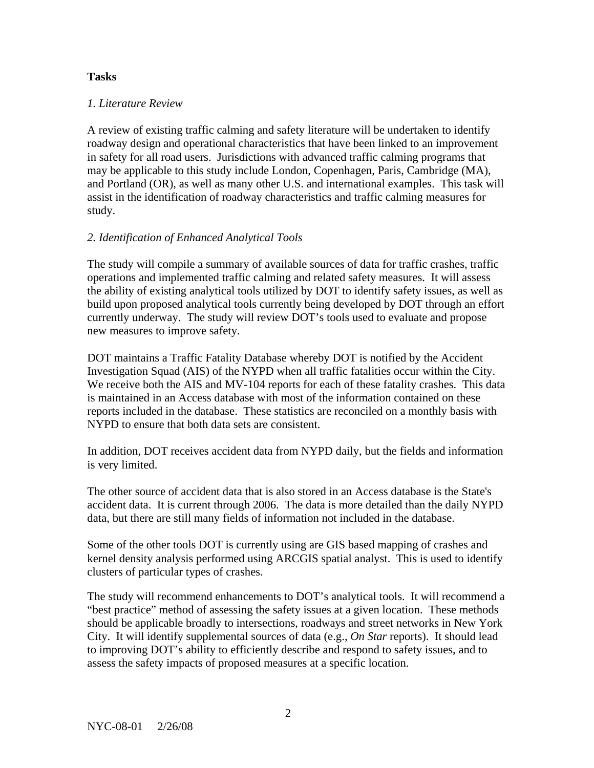#### **Tasks**

#### *1. Literature Review*

A review of existing traffic calming and safety literature will be undertaken to identify roadway design and operational characteristics that have been linked to an improvement in safety for all road users. Jurisdictions with advanced traffic calming programs that may be applicable to this study include London, Copenhagen, Paris, Cambridge (MA), and Portland (OR), as well as many other U.S. and international examples. This task will assist in the identification of roadway characteristics and traffic calming measures for study.

### *2. Identification of Enhanced Analytical Tools*

The study will compile a summary of available sources of data for traffic crashes, traffic operations and implemented traffic calming and related safety measures. It will assess the ability of existing analytical tools utilized by DOT to identify safety issues, as well as build upon proposed analytical tools currently being developed by DOT through an effort currently underway. The study will review DOT's tools used to evaluate and propose new measures to improve safety.

DOT maintains a Traffic Fatality Database whereby DOT is notified by the Accident Investigation Squad (AIS) of the NYPD when all traffic fatalities occur within the City. We receive both the AIS and MV-104 reports for each of these fatality crashes. This data is maintained in an Access database with most of the information contained on these reports included in the database. These statistics are reconciled on a monthly basis with NYPD to ensure that both data sets are consistent.

In addition, DOT receives accident data from NYPD daily, but the fields and information is very limited.

The other source of accident data that is also stored in an Access database is the State's accident data. It is current through 2006. The data is more detailed than the daily NYPD data, but there are still many fields of information not included in the database.

Some of the other tools DOT is currently using are GIS based mapping of crashes and kernel density analysis performed using ARCGIS spatial analyst. This is used to identify clusters of particular types of crashes.

The study will recommend enhancements to DOT's analytical tools. It will recommend a "best practice" method of assessing the safety issues at a given location. These methods should be applicable broadly to intersections, roadways and street networks in New York City. It will identify supplemental sources of data (e.g., *On Star* reports). It should lead to improving DOT's ability to efficiently describe and respond to safety issues, and to assess the safety impacts of proposed measures at a specific location.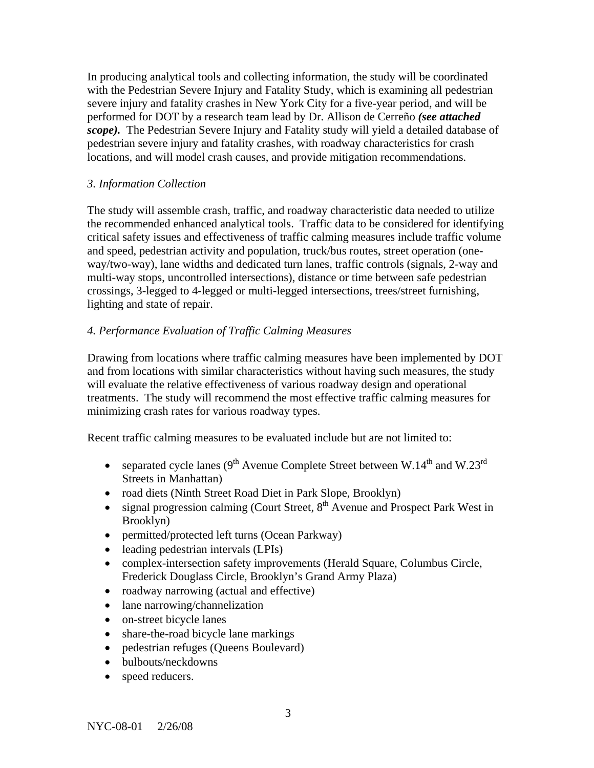In producing analytical tools and collecting information, the study will be coordinated with the Pedestrian Severe Injury and Fatality Study, which is examining all pedestrian severe injury and fatality crashes in New York City for a five-year period, and will be performed for DOT by a research team lead by Dr. Allison de Cerreño *(see attached scope).* The Pedestrian Severe Injury and Fatality study will yield a detailed database of pedestrian severe injury and fatality crashes, with roadway characteristics for crash locations, and will model crash causes, and provide mitigation recommendations.

### *3. Information Collection*

The study will assemble crash, traffic, and roadway characteristic data needed to utilize the recommended enhanced analytical tools. Traffic data to be considered for identifying critical safety issues and effectiveness of traffic calming measures include traffic volume and speed, pedestrian activity and population, truck/bus routes, street operation (oneway/two-way), lane widths and dedicated turn lanes, traffic controls (signals, 2-way and multi-way stops, uncontrolled intersections), distance or time between safe pedestrian crossings, 3-legged to 4-legged or multi-legged intersections, trees/street furnishing, lighting and state of repair.

## *4. Performance Evaluation of Traffic Calming Measures*

Drawing from locations where traffic calming measures have been implemented by DOT and from locations with similar characteristics without having such measures, the study will evaluate the relative effectiveness of various roadway design and operational treatments. The study will recommend the most effective traffic calming measures for minimizing crash rates for various roadway types.

Recent traffic calming measures to be evaluated include but are not limited to:

- separated cycle lanes  $(9^{th}$  Avenue Complete Street between W.14<sup>th</sup> and W.23<sup>rd</sup> Streets in Manhattan)
- road diets (Ninth Street Road Diet in Park Slope, Brooklyn)
- signal progression calming (Court Street,  $8<sup>th</sup>$  Avenue and Prospect Park West in Brooklyn)
- permitted/protected left turns (Ocean Parkway)
- leading pedestrian intervals (LPIs)
- complex-intersection safety improvements (Herald Square, Columbus Circle, Frederick Douglass Circle, Brooklyn's Grand Army Plaza)
- roadway narrowing (actual and effective)
- lane narrowing/channelization
- on-street bicycle lanes
- share-the-road bicycle lane markings
- pedestrian refuges (Queens Boulevard)
- bulbouts/neckdowns
- speed reducers.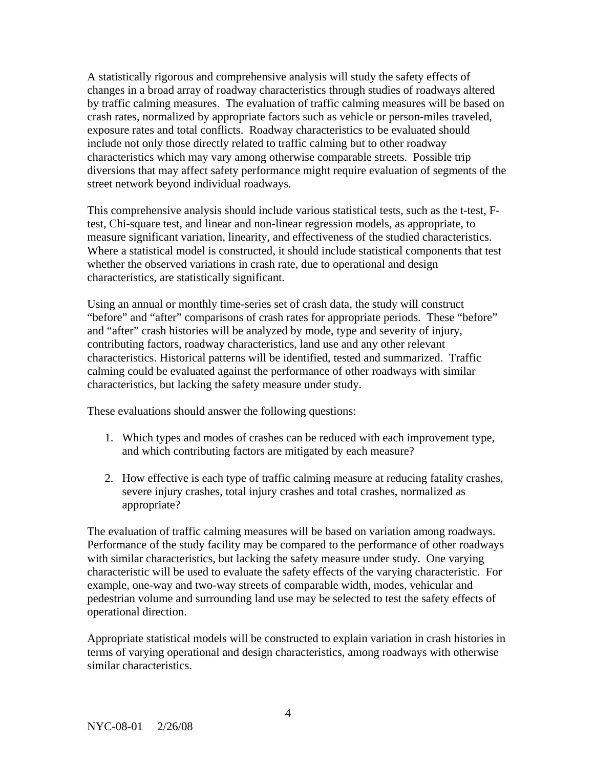A statistically rigorous and comprehensive analysis will study the safety effects of changes in a broad array of roadway characteristics through studies of roadways altered by traffic calming measures. The evaluation of traffic calming measures will be based on crash rates, normalized by appropriate factors such as vehicle or person-miles traveled, exposure rates and total conflicts. Roadway characteristics to be evaluated should include not only those directly related to traffic calming but to other roadway characteristics which may vary among otherwise comparable streets. Possible trip diversions that may affect safety performance might require evaluation of segments of the street network beyond individual roadways.

This comprehensive analysis should include various statistical tests, such as the t-test, Ftest, Chi-square test, and linear and non-linear regression models, as appropriate, to measure significant variation, linearity, and effectiveness of the studied characteristics. Where a statistical model is constructed, it should include statistical components that test whether the observed variations in crash rate, due to operational and design characteristics, are statistically significant.

Using an annual or monthly time-series set of crash data, the study will construct "before" and "after" comparisons of crash rates for appropriate periods. These "before" and "after" crash histories will be analyzed by mode, type and severity of injury, contributing factors, roadway characteristics, land use and any other relevant characteristics. Historical patterns will be identified, tested and summarized. Traffic calming could be evaluated against the performance of other roadways with similar characteristics, but lacking the safety measure under study.

These evaluations should answer the following questions:

- 1. Which types and modes of crashes can be reduced with each improvement type, and which contributing factors are mitigated by each measure?
- 2. How effective is each type of traffic calming measure at reducing fatality crashes, severe injury crashes, total injury crashes and total crashes, normalized as appropriate?

The evaluation of traffic calming measures will be based on variation among roadways. Performance of the study facility may be compared to the performance of other roadways with similar characteristics, but lacking the safety measure under study. One varying characteristic will be used to evaluate the safety effects of the varying characteristic. For example, one-way and two-way streets of comparable width, modes, vehicular and pedestrian volume and surrounding land use may be selected to test the safety effects of operational direction.

Appropriate statistical models will be constructed to explain variation in crash histories in terms of varying operational and design characteristics, among roadways with otherwise similar characteristics.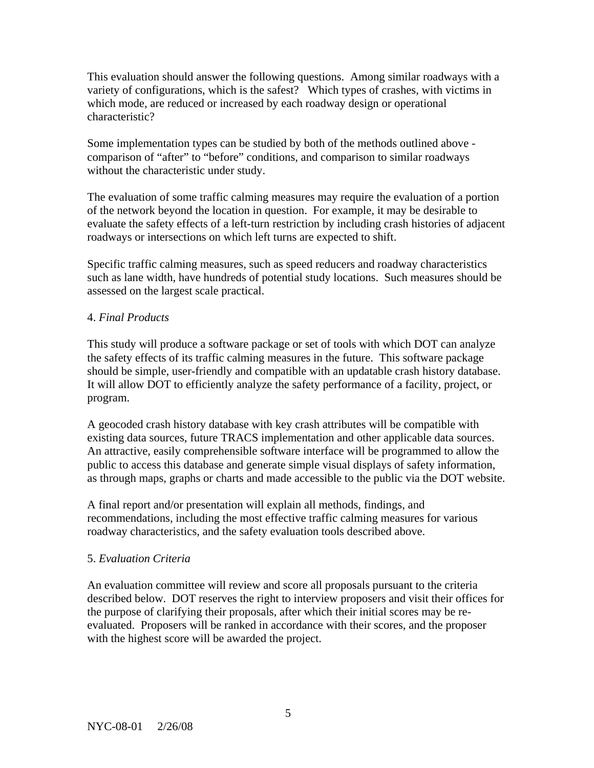This evaluation should answer the following questions. Among similar roadways with a variety of configurations, which is the safest? Which types of crashes, with victims in which mode, are reduced or increased by each roadway design or operational characteristic?

Some implementation types can be studied by both of the methods outlined above comparison of "after" to "before" conditions, and comparison to similar roadways without the characteristic under study.

The evaluation of some traffic calming measures may require the evaluation of a portion of the network beyond the location in question. For example, it may be desirable to evaluate the safety effects of a left-turn restriction by including crash histories of adjacent roadways or intersections on which left turns are expected to shift.

Specific traffic calming measures, such as speed reducers and roadway characteristics such as lane width, have hundreds of potential study locations. Such measures should be assessed on the largest scale practical.

### 4. *Final Products*

This study will produce a software package or set of tools with which DOT can analyze the safety effects of its traffic calming measures in the future. This software package should be simple, user-friendly and compatible with an updatable crash history database. It will allow DOT to efficiently analyze the safety performance of a facility, project, or program.

A geocoded crash history database with key crash attributes will be compatible with existing data sources, future TRACS implementation and other applicable data sources. An attractive, easily comprehensible software interface will be programmed to allow the public to access this database and generate simple visual displays of safety information, as through maps, graphs or charts and made accessible to the public via the DOT website.

A final report and/or presentation will explain all methods, findings, and recommendations, including the most effective traffic calming measures for various roadway characteristics, and the safety evaluation tools described above.

#### 5. *Evaluation Criteria*

An evaluation committee will review and score all proposals pursuant to the criteria described below. DOT reserves the right to interview proposers and visit their offices for the purpose of clarifying their proposals, after which their initial scores may be reevaluated. Proposers will be ranked in accordance with their scores, and the proposer with the highest score will be awarded the project.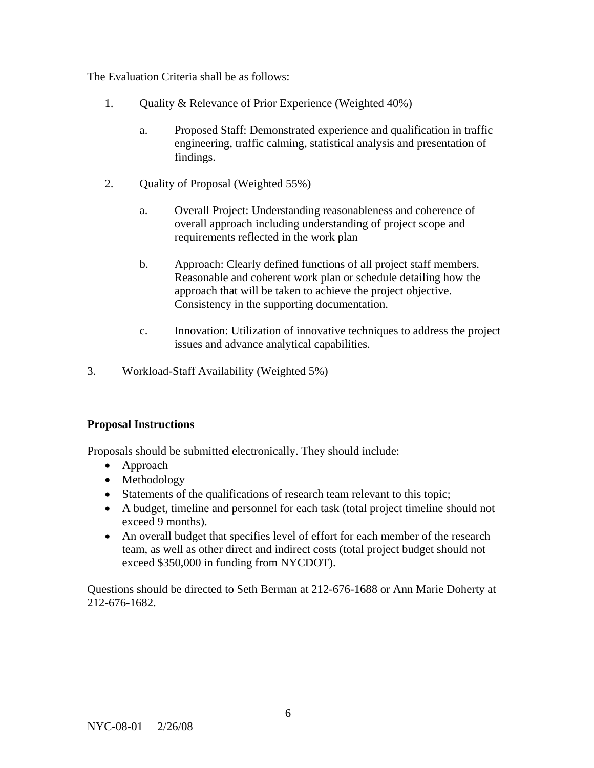The Evaluation Criteria shall be as follows:

- 1. Quality & Relevance of Prior Experience (Weighted 40%)
	- a. Proposed Staff: Demonstrated experience and qualification in traffic engineering, traffic calming, statistical analysis and presentation of findings.
- 2. Quality of Proposal (Weighted 55%)
	- a. Overall Project: Understanding reasonableness and coherence of overall approach including understanding of project scope and requirements reflected in the work plan
	- b. Approach: Clearly defined functions of all project staff members. Reasonable and coherent work plan or schedule detailing how the approach that will be taken to achieve the project objective. Consistency in the supporting documentation.
	- c. Innovation: Utilization of innovative techniques to address the project issues and advance analytical capabilities.
- 3. Workload-Staff Availability (Weighted 5%)

#### **Proposal Instructions**

Proposals should be submitted electronically. They should include:

- Approach
- Methodology
- Statements of the qualifications of research team relevant to this topic;
- A budget, timeline and personnel for each task (total project timeline should not exceed 9 months).
- An overall budget that specifies level of effort for each member of the research team, as well as other direct and indirect costs (total project budget should not exceed \$350,000 in funding from NYCDOT).

Questions should be directed to Seth Berman at 212-676-1688 or Ann Marie Doherty at 212-676-1682.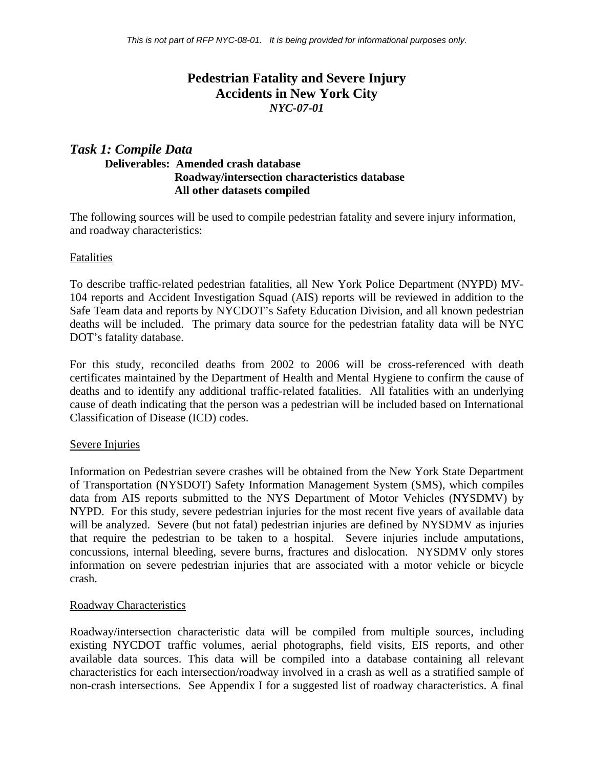# **Pedestrian Fatality and Severe Injury Accidents in New York City**  *NYC-07-01*

## *Task 1: Compile Data*  **Deliverables: Amended crash database Roadway/intersection characteristics database All other datasets compiled**

The following sources will be used to compile pedestrian fatality and severe injury information, and roadway characteristics:

### Fatalities

To describe traffic-related pedestrian fatalities, all New York Police Department (NYPD) MV-104 reports and Accident Investigation Squad (AIS) reports will be reviewed in addition to the Safe Team data and reports by NYCDOT's Safety Education Division, and all known pedestrian deaths will be included. The primary data source for the pedestrian fatality data will be NYC DOT's fatality database.

For this study, reconciled deaths from 2002 to 2006 will be cross-referenced with death certificates maintained by the Department of Health and Mental Hygiene to confirm the cause of deaths and to identify any additional traffic-related fatalities. All fatalities with an underlying cause of death indicating that the person was a pedestrian will be included based on International Classification of Disease (ICD) codes.

#### Severe Injuries

Information on Pedestrian severe crashes will be obtained from the New York State Department of Transportation (NYSDOT) Safety Information Management System (SMS), which compiles data from AIS reports submitted to the NYS Department of Motor Vehicles (NYSDMV) by NYPD. For this study, severe pedestrian injuries for the most recent five years of available data will be analyzed. Severe (but not fatal) pedestrian injuries are defined by NYSDMV as injuries that require the pedestrian to be taken to a hospital. Severe injuries include amputations, concussions, internal bleeding, severe burns, fractures and dislocation. NYSDMV only stores information on severe pedestrian injuries that are associated with a motor vehicle or bicycle crash.

#### Roadway Characteristics

Roadway/intersection characteristic data will be compiled from multiple sources, including existing NYCDOT traffic volumes, aerial photographs, field visits, EIS reports, and other available data sources. This data will be compiled into a database containing all relevant characteristics for each intersection/roadway involved in a crash as well as a stratified sample of non-crash intersections. See Appendix I for a suggested list of roadway characteristics. A final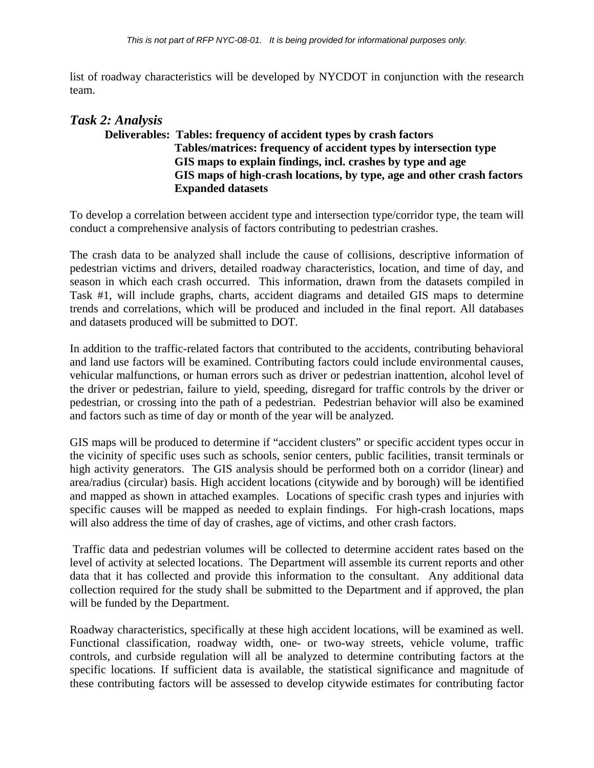list of roadway characteristics will be developed by NYCDOT in conjunction with the research team.

## *Task 2: Analysis*   **Deliverables: Tables: frequency of accident types by crash factors Tables/matrices: frequency of accident types by intersection type GIS maps to explain findings, incl. crashes by type and age GIS maps of high-crash locations, by type, age and other crash factors Expanded datasets**

To develop a correlation between accident type and intersection type/corridor type, the team will conduct a comprehensive analysis of factors contributing to pedestrian crashes.

The crash data to be analyzed shall include the cause of collisions, descriptive information of pedestrian victims and drivers, detailed roadway characteristics, location, and time of day, and season in which each crash occurred. This information, drawn from the datasets compiled in Task #1, will include graphs, charts, accident diagrams and detailed GIS maps to determine trends and correlations, which will be produced and included in the final report. All databases and datasets produced will be submitted to DOT.

In addition to the traffic-related factors that contributed to the accidents, contributing behavioral and land use factors will be examined. Contributing factors could include environmental causes, vehicular malfunctions, or human errors such as driver or pedestrian inattention, alcohol level of the driver or pedestrian, failure to yield, speeding, disregard for traffic controls by the driver or pedestrian, or crossing into the path of a pedestrian. Pedestrian behavior will also be examined and factors such as time of day or month of the year will be analyzed.

GIS maps will be produced to determine if "accident clusters" or specific accident types occur in the vicinity of specific uses such as schools, senior centers, public facilities, transit terminals or high activity generators. The GIS analysis should be performed both on a corridor (linear) and area/radius (circular) basis. High accident locations (citywide and by borough) will be identified and mapped as shown in attached examples. Locations of specific crash types and injuries with specific causes will be mapped as needed to explain findings. For high-crash locations, maps will also address the time of day of crashes, age of victims, and other crash factors.

 Traffic data and pedestrian volumes will be collected to determine accident rates based on the level of activity at selected locations. The Department will assemble its current reports and other data that it has collected and provide this information to the consultant. Any additional data collection required for the study shall be submitted to the Department and if approved, the plan will be funded by the Department.

Roadway characteristics, specifically at these high accident locations, will be examined as well. Functional classification, roadway width, one- or two-way streets, vehicle volume, traffic controls, and curbside regulation will all be analyzed to determine contributing factors at the specific locations. If sufficient data is available, the statistical significance and magnitude of these contributing factors will be assessed to develop citywide estimates for contributing factor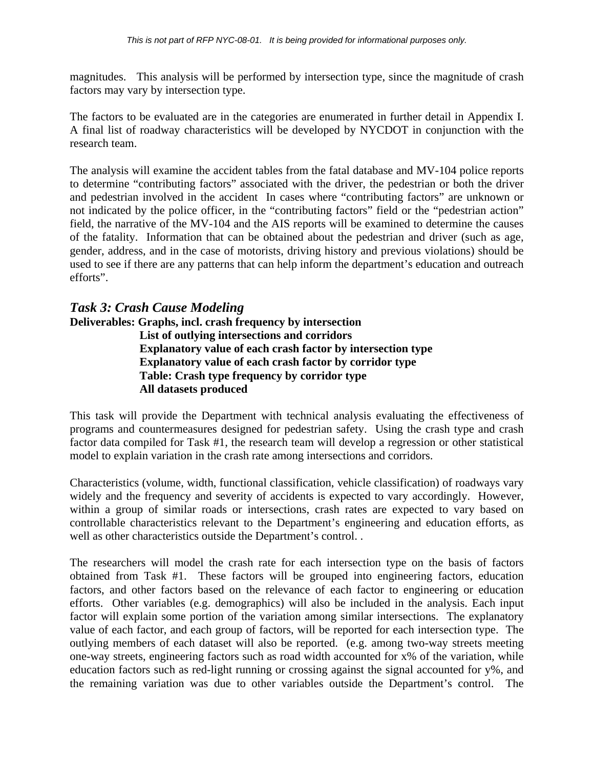magnitudes. This analysis will be performed by intersection type, since the magnitude of crash factors may vary by intersection type.

The factors to be evaluated are in the categories are enumerated in further detail in Appendix I. A final list of roadway characteristics will be developed by NYCDOT in conjunction with the research team.

The analysis will examine the accident tables from the fatal database and MV-104 police reports to determine "contributing factors" associated with the driver, the pedestrian or both the driver and pedestrian involved in the accident In cases where "contributing factors" are unknown or not indicated by the police officer, in the "contributing factors" field or the "pedestrian action" field, the narrative of the MV-104 and the AIS reports will be examined to determine the causes of the fatality. Information that can be obtained about the pedestrian and driver (such as age, gender, address, and in the case of motorists, driving history and previous violations) should be used to see if there are any patterns that can help inform the department's education and outreach efforts".

# *Task 3: Crash Cause Modeling*

**Deliverables: Graphs, incl. crash frequency by intersection List of outlying intersections and corridors Explanatory value of each crash factor by intersection type Explanatory value of each crash factor by corridor type Table: Crash type frequency by corridor type All datasets produced** 

This task will provide the Department with technical analysis evaluating the effectiveness of programs and countermeasures designed for pedestrian safety. Using the crash type and crash factor data compiled for Task #1, the research team will develop a regression or other statistical model to explain variation in the crash rate among intersections and corridors.

Characteristics (volume, width, functional classification, vehicle classification) of roadways vary widely and the frequency and severity of accidents is expected to vary accordingly. However, within a group of similar roads or intersections, crash rates are expected to vary based on controllable characteristics relevant to the Department's engineering and education efforts, as well as other characteristics outside the Department's control. .

The researchers will model the crash rate for each intersection type on the basis of factors obtained from Task #1. These factors will be grouped into engineering factors, education factors, and other factors based on the relevance of each factor to engineering or education efforts. Other variables (e.g. demographics) will also be included in the analysis. Each input factor will explain some portion of the variation among similar intersections. The explanatory value of each factor, and each group of factors, will be reported for each intersection type. The outlying members of each dataset will also be reported. (e.g. among two-way streets meeting one-way streets, engineering factors such as road width accounted for x% of the variation, while education factors such as red-light running or crossing against the signal accounted for y%, and the remaining variation was due to other variables outside the Department's control. The